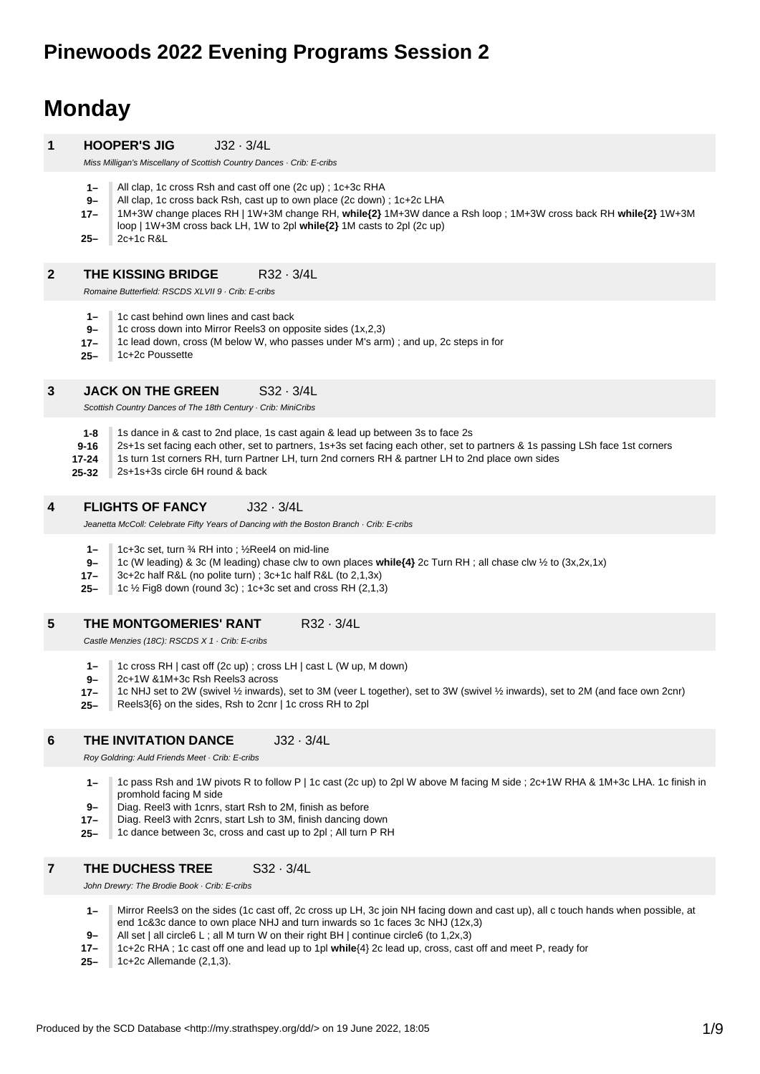# **Monday**

#### **1 HOOPER'S JIG** J32 · 3/4L

Miss Milligan's Miscellany of Scottish Country Dances · Crib: E-cribs

- **1–** All clap, 1c cross Rsh and cast off one (2c up) ; 1c+3c RHA
- **9–** All clap, 1c cross back Rsh, cast up to own place (2c down) ; 1c+2c LHA
- **17–** 1M+3W change places RH | 1W+3M change RH, **while{2}** 1M+3W dance a Rsh loop ; 1M+3W cross back RH **while{2}** 1W+3M
- loop | 1W+3M cross back LH, 1W to 2pl **while{2}** 1M casts to 2pl (2c up)
- **25–** 2c+1c R&L

#### **2 THE KISSING BRIDGE** R32 · 3/4L

Romaine Butterfield: RSCDS XLVII 9 · Crib: E-cribs

- **1–** 1c cast behind own lines and cast back
- **9–** 1c cross down into Mirror Reels3 on opposite sides (1x,2,3)
- **17–** 1c lead down, cross (M below W, who passes under M's arm) ; and up, 2c steps in for
- **25–** 1c+2c Poussette

#### **3 JACK ON THE GREEN** S32 · 3/4L

Scottish Country Dances of The 18th Century · Crib: MiniCribs

- **1-8** 1s dance in & cast to 2nd place, 1s cast again & lead up between 3s to face 2s
- **9-16** 2s+1s set facing each other, set to partners, 1s+3s set facing each other, set to partners & 1s passing LSh face 1st corners
- **17-24** 1s turn 1st corners RH, turn Partner LH, turn 2nd corners RH & partner LH to 2nd place own sides
- **25-32** 2s+1s+3s circle 6H round & back

#### **4 FLIGHTS OF FANCY** J32 · 3/4L

Jeanetta McColl: Celebrate Fifty Years of Dancing with the Boston Branch · Crib: E-cribs

- **1–** 1c+3c set, turn ¾ RH into ; ½Reel4 on mid-line
- **9–** 1c (W leading) & 3c (M leading) chase clw to own places **while{4}** 2c Turn RH ; all chase clw ½ to (3x,2x,1x)
- **17–** 3c+2c half R&L (no polite turn) ; 3c+1c half R&L (to 2,1,3x)
- **25–** 1c ½ Fig8 down (round 3c) ; 1c+3c set and cross RH (2,1,3)

#### **5 THE MONTGOMERIES' RANT R32 · 3/4L**

Castle Menzies (18C): RSCDS X 1 · Crib: E-cribs

- **1–** 1c cross RH | cast off (2c up) ; cross LH | cast L (W up, M down)
- **9–** 2c+1W &1M+3c Rsh Reels3 across
- **17–** 1c NHJ set to 2W (swivel ½ inwards), set to 3M (veer L together), set to 3W (swivel ½ inwards), set to 2M (and face own 2cnr)
- **25–** Reels3{6} on the sides, Rsh to 2cnr | 1c cross RH to 2pl

#### **6 THE INVITATION DANCE** J32 · 3/4L

Roy Goldring: Auld Friends Meet · Crib: E-cribs

- **1–** 1c pass Rsh and 1W pivots R to follow P | 1c cast (2c up) to 2pl W above M facing M side ; 2c+1W RHA & 1M+3c LHA. 1c finish in promhold facing M side
- **9–** Diag. Reel3 with 1cnrs, start Rsh to 2M, finish as before
- **17–** Diag. Reel3 with 2cnrs, start Lsh to 3M, finish dancing down
- **25–** 1c dance between 3c, cross and cast up to 2pl ; All turn P RH

#### **7 THE DUCHESS TREE** S32 · 3/4L

John Drewry: The Brodie Book · Crib: E-cribs

- **1–** Mirror Reels3 on the sides (1c cast off, 2c cross up LH, 3c join NH facing down and cast up), all c touch hands when possible, at end 1c&3c dance to own place NHJ and turn inwards so 1c faces 3c NHJ (12x,3)
- **9–** All set | all circle6 L; all M turn W on their right BH | continue circle6 (to 1,2x,3)
- **17–** 1c+2c RHA ; 1c cast off one and lead up to 1pl **while**{4} 2c lead up, cross, cast off and meet P, ready for
- **25–** 1c+2c Allemande (2,1,3).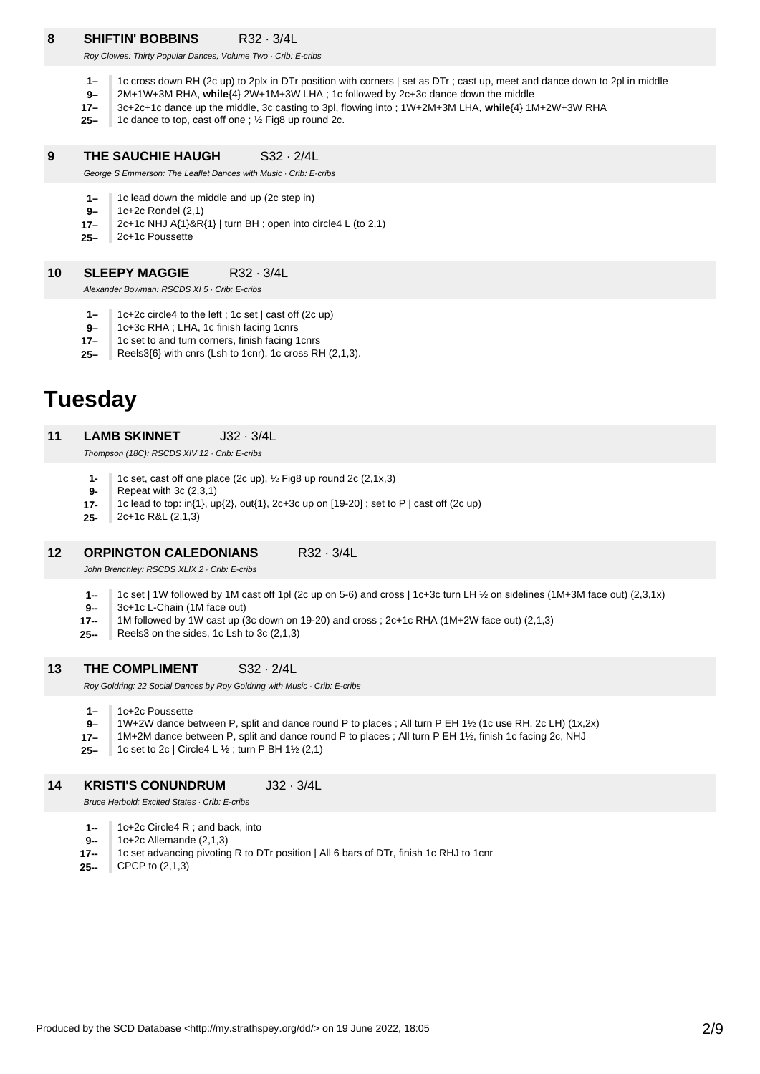## **8 SHIFTIN' BOBBINS** R32 · 3/4L

Roy Clowes: Thirty Popular Dances, Volume Two · Crib: E-cribs

- **1–** 1c cross down RH (2c up) to 2plx in DTr position with corners | set as DTr ; cast up, meet and dance down to 2pl in middle
- **9–** 2M+1W+3M RHA, **while**{4} 2W+1M+3W LHA ; 1c followed by 2c+3c dance down the middle
- **17–** 3c+2c+1c dance up the middle, 3c casting to 3pl, flowing into ; 1W+2M+3M LHA, **while**{4} 1M+2W+3W RHA
- **25–** 1c dance to top, cast off one ; ½ Fig8 up round 2c.

#### **9 THE SAUCHIE HAUGH** S32 · 2/4L

George S Emmerson: The Leaflet Dances with Music · Crib: E-cribs

- **1–** 1c lead down the middle and up (2c step in)
- **9–** 1c+2c Rondel (2,1)
- **17–** 2c+1c NHJ A{1}&R{1} | turn BH ; open into circle4 L (to 2,1)
- **25–** 2c+1c Poussette

#### **10 SLEEPY MAGGIE** R32 · 3/4L

Alexander Bowman: RSCDS XI 5 · Crib: E-cribs

- **1–** 1c+2c circle4 to the left ; 1c set | cast off (2c up)
- **9–** 1c+3c RHA ; LHA, 1c finish facing 1cnrs
- **17–** 1c set to and turn corners, finish facing 1cnrs
- **25–** Reels3{6} with cnrs (Lsh to 1cnr), 1c cross RH (2,1,3).

## **Tuesday**

#### **11 LAMB SKINNET** J32 · 3/4L

Thompson (18C): RSCDS XIV 12 · Crib: E-cribs

- **1-** 1c set, cast off one place (2c up), ½ Fig8 up round 2c (2,1x,3)
- **9-** Repeat with 3c (2,3,1)
- **17-** 1c lead to top: in{1}, up{2}, out{1}, 2c+3c up on [19-20] ; set to P | cast off (2c up)
- **25-** 2c+1c R&L (2,1,3)

#### **12 ORPINGTON CALEDONIANS** R32 · 3/4L

John Brenchley: RSCDS XLIX 2 · Crib: E-cribs

- **1--** 1c set | 1W followed by 1M cast off 1pl (2c up on 5-6) and cross | 1c+3c turn LH ½ on sidelines (1M+3M face out) (2,3,1x)
- **9--** 3c+1c L-Chain (1M face out)
- **17--** 1M followed by 1W cast up (3c down on 19-20) and cross ; 2c+1c RHA (1M+2W face out) (2,1,3)
- **25--** Reels3 on the sides, 1c Lsh to 3c (2,1,3)

#### **13 THE COMPLIMENT** S32 · 2/4L

Roy Goldring: 22 Social Dances by Roy Goldring with Music · Crib: E-cribs

**1–** 1c+2c Poussette

- **9–** 1W+2W dance between P, split and dance round P to places ; All turn P EH 1½ (1c use RH, 2c LH) (1x,2x)
- **17–** 1M+2M dance between P, split and dance round P to places ; All turn P EH 1½, finish 1c facing 2c, NHJ
- **25–** 1c set to 2c | Circle4 L ½ ; turn P BH 1½ (2,1)

#### **14 KRISTI'S CONUNDRUM** J32 · 3/4L

Bruce Herbold: Excited States · Crib: E-cribs

- **1--** 1c+2c Circle4 R ; and back, into
- **9--** 1c+2c Allemande (2,1,3)
- **17--** 1c set advancing pivoting R to DTr position | All 6 bars of DTr, finish 1c RHJ to 1cnr
- **25--** CPCP to (2,1,3)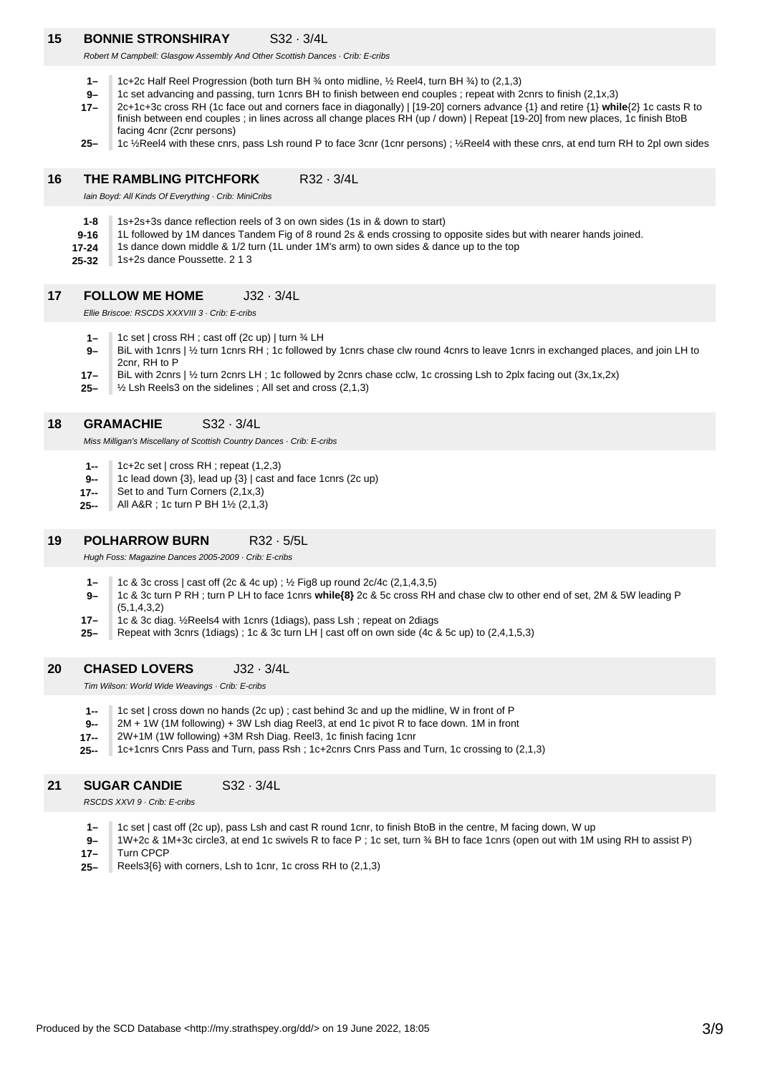### **15 BONNIE STRONSHIRAY** S32 · 3/4L

Robert M Campbell: Glasgow Assembly And Other Scottish Dances · Crib: E-cribs

- **1–** 1c+2c Half Reel Progression (both turn BH ¾ onto midline, ½ Reel4, turn BH ¾) to (2,1,3)
- **9–** 1c set advancing and passing, turn 1cnrs BH to finish between end couples ; repeat with 2cnrs to finish (2,1x,3)
- **17–** 2c+1c+3c cross RH (1c face out and corners face in diagonally) | [19-20] corners advance {1} and retire {1} **while**{2} 1c casts R to finish between end couples ; in lines across all change places RH (up / down) | Repeat [19-20] from new places, 1c finish BtoB facing 4cnr (2cnr persons)
- **25–** 1c ½Reel4 with these cnrs, pass Lsh round P to face 3cnr (1cnr persons) ; ½Reel4 with these cnrs, at end turn RH to 2pl own sides

#### **16 THE RAMBLING PITCHFORK** R32 · 3/4L

Iain Boyd: All Kinds Of Everything · Crib: MiniCribs

- **1-8** 1s+2s+3s dance reflection reels of 3 on own sides (1s in & down to start)
- **9-16** 1L followed by 1M dances Tandem Fig of 8 round 2s & ends crossing to opposite sides but with nearer hands joined.
- **17-24** 1s dance down middle & 1/2 turn (1L under 1M's arm) to own sides & dance up to the top
- **25-32** 1s+2s dance Poussette. 2 1 3

#### **17 FOLLOW ME HOME** J32 · 3/4L

Ellie Briscoe: RSCDS XXXVIII 3 · Crib: E-cribs

- **1–** 1c set | cross RH ; cast off (2c up) | turn ¾ LH
- **9–** BiL with 1cnrs | 1/2 turn 1cnrs RH ; 1c followed by 1cnrs chase clw round 4cnrs to leave 1cnrs in exchanged places, and join LH to 2cnr, RH to P
- **17–** BiL with 2cnrs | 1/2 turn 2cnrs LH ; 1c followed by 2cnrs chase cclw, 1c crossing Lsh to 2plx facing out (3x,1x,2x)
- **25–** ½ Lsh Reels3 on the sidelines ; All set and cross (2,1,3)

#### **18 GRAMACHIE** S32 · 3/4L

Miss Milligan's Miscellany of Scottish Country Dances · Crib: E-cribs

- **1--** 1c+2c set | cross RH ; repeat (1,2,3)
- **9--** 1c lead down {3}, lead up {3} | cast and face 1cnrs (2c up)
- **17--** Set to and Turn Corners (2,1x,3)
- **25--** All A&R ; 1c turn P BH 1½ (2,1,3)

#### **19 POLHARROW BURN R32 · 5/5L**

Hugh Foss: Magazine Dances 2005-2009 · Crib: E-cribs

- **1–** 1c & 3c cross | cast off (2c & 4c up) ; ½ Fig8 up round 2c/4c (2,1,4,3,5)
- **9–** 1c & 3c turn P RH ; turn P LH to face 1cnrs **while{8}** 2c & 5c cross RH and chase clw to other end of set, 2M & 5W leading P (5,1,4,3,2)
- **17–** 1c & 3c diag. ½Reels4 with 1cnrs (1diags), pass Lsh ; repeat on 2diags
- **25–** Repeat with 3cnrs (1diags) ; 1c & 3c turn LH | cast off on own side (4c & 5c up) to (2,4,1,5,3)

#### **20 CHASED LOVERS** J32 · 3/4L

Tim Wilson: World Wide Weavings · Crib: E-cribs

- **1--** 1c set | cross down no hands (2c up) ; cast behind 3c and up the midline, W in front of P
- **9--** 2M + 1W (1M following) + 3W Lsh diag Reel3, at end 1c pivot R to face down. 1M in front
- **17--** 2W+1M (1W following) +3M Rsh Diag. Reel3, 1c finish facing 1cnr
- **25--** 1c+1cnrs Cnrs Pass and Turn, pass Rsh ; 1c+2cnrs Cnrs Pass and Turn, 1c crossing to (2,1,3)

#### **21 SUGAR CANDIE** S32 · 3/4L

RSCDS XXVI 9 · Crib: E-cribs

- **1–** 1c set | cast off (2c up), pass Lsh and cast R round 1cnr, to finish BtoB in the centre, M facing down, W up
- **9–** 1W+2c & 1M+3c circle3, at end 1c swivels R to face P ; 1c set, turn ¾ BH to face 1cnrs (open out with 1M using RH to assist P)
- **17–** Turn CPCP
- **25–** Reels3{6} with corners, Lsh to 1cnr, 1c cross RH to (2,1,3)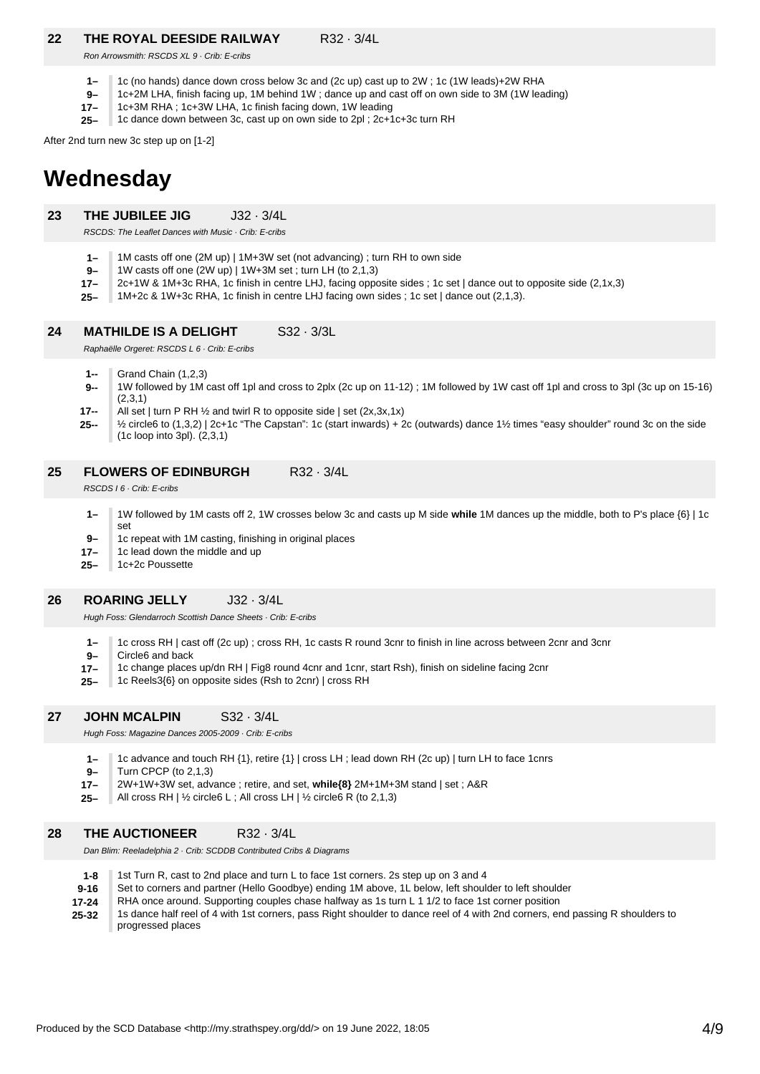## **22 THE ROYAL DEESIDE RAILWAY** R32 · 3/4L

Ron Arrowsmith: RSCDS XL 9 · Crib: E-cribs

- **1–** 1c (no hands) dance down cross below 3c and (2c up) cast up to 2W ; 1c (1W leads)+2W RHA
- **9–** 1c+2M LHA, finish facing up, 1M behind 1W ; dance up and cast off on own side to 3M (1W leading)
- **17–** 1c+3M RHA ; 1c+3W LHA, 1c finish facing down, 1W leading
- **25–** 1c dance down between 3c, cast up on own side to 2pl ; 2c+1c+3c turn RH

After 2nd turn new 3c step up on [1-2]

# **Wednesday**

**23 THE JUBILEE JIG** J32 · 3/4L

RSCDS: The Leaflet Dances with Music · Crib: E-cribs

- **1–** 1M casts off one (2M up) | 1M+3W set (not advancing) ; turn RH to own side
- **9–** 1W casts off one (2W up) | 1W+3M set ; turn LH (to 2,1,3)
- **17–** 2c+1W & 1M+3c RHA, 1c finish in centre LHJ, facing opposite sides ; 1c set | dance out to opposite side (2,1x,3)
- **25–** 1M+2c & 1W+3c RHA, 1c finish in centre LHJ facing own sides ; 1c set | dance out (2,1,3).

#### **24 MATHILDE IS A DELIGHT** S32 · 3/3L

Raphaëlle Orgeret: RSCDS L 6 · Crib: E-cribs

**1--** Grand Chain (1,2,3)

- **9--** 1W followed by 1M cast off 1pl and cross to 2plx (2c up on 11-12) ; 1M followed by 1W cast off 1pl and cross to 3pl (3c up on 15-16) (2,3,1)
- **17--** All set | turn P RH  $\frac{1}{2}$  and twirl R to opposite side | set (2x,3x,1x)
- **25--** ½ circle6 to (1,3,2) | 2c+1c "The Capstan": 1c (start inwards) + 2c (outwards) dance 1½ times "easy shoulder" round 3c on the side (1c loop into 3pl). (2,3,1)

#### **25 FLOWERS OF EDINBURGH** R32 · 3/4L

RSCDS I 6 · Crib: E-cribs

- **1–** 1W followed by 1M casts off 2, 1W crosses below 3c and casts up M side **while** 1M dances up the middle, both to P's place {6} | 1c set
- **9–** 1c repeat with 1M casting, finishing in original places
- **17–** 1c lead down the middle and up
- **25–** 1c+2c Poussette

#### **26 ROARING JELLY** J32 · 3/4L

Hugh Foss: Glendarroch Scottish Dance Sheets · Crib: E-cribs

- **1–** 1c cross RH | cast off (2c up) ; cross RH, 1c casts R round 3cnr to finish in line across between 2cnr and 3cnr
- **9–** Circle6 and back
- **17–** 1c change places up/dn RH | Fig8 round 4cnr and 1cnr, start Rsh), finish on sideline facing 2cnr
- **25–** 1c Reels3{6} on opposite sides (Rsh to 2cnr) | cross RH

#### **27 JOHN MCALPIN** S32 · 3/4L

Hugh Foss: Magazine Dances 2005-2009 · Crib: E-cribs

- **1–** 1c advance and touch RH {1}, retire {1} | cross LH ; lead down RH (2c up) | turn LH to face 1cnrs
- **9–** Turn CPCP (to 2,1,3)
- **17–** 2W+1W+3W set, advance ; retire, and set, **while{8}** 2M+1M+3M stand | set ; A&R
- **25–** All cross RH | ½ circle6 L ; All cross LH | ½ circle6 R (to 2,1,3)

#### **28 THE AUCTIONEER** R32 · 3/4L

Dan Blim: Reeladelphia 2 · Crib: SCDDB Contributed Cribs & Diagrams

- **1-8** 1st Turn R, cast to 2nd place and turn L to face 1st corners. 2s step up on 3 and 4
- **9-16** Set to corners and partner (Hello Goodbye) ending 1M above, 1L below, left shoulder to left shoulder
- **17-24** RHA once around. Supporting couples chase halfway as 1s turn L 1 1/2 to face 1st corner position

**25-32** 1s dance half reel of 4 with 1st corners, pass Right shoulder to dance reel of 4 with 2nd corners, end passing R shoulders to progressed places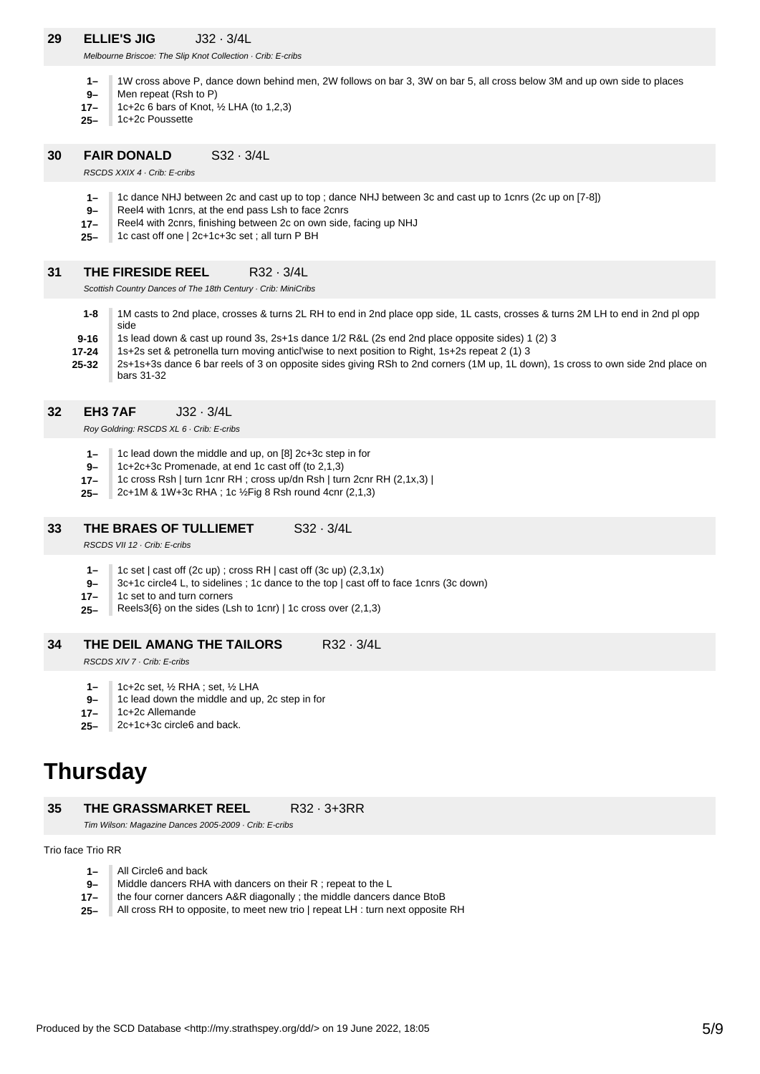## **29 ELLIE'S JIG** J32 · 3/4L

Melbourne Briscoe: The Slip Knot Collection · Crib: E-cribs

- **1–** 1W cross above P, dance down behind men, 2W follows on bar 3, 3W on bar 5, all cross below 3M and up own side to places
- **9–** Men repeat (Rsh to P)
- **17–** 1c+2c 6 bars of Knot, ½ LHA (to 1,2,3)
- **25–** 1c+2c Poussette

#### **30 FAIR DONALD** S32 · 3/4L

RSCDS XXIX 4 · Crib: E-cribs

- **1–** 1c dance NHJ between 2c and cast up to top ; dance NHJ between 3c and cast up to 1cnrs (2c up on [7-8])
- **9–** Reel4 with 1cnrs, at the end pass Lsh to face 2cnrs
- **17–** Reel4 with 2cnrs, finishing between 2c on own side, facing up NHJ
- **25–** 1c cast off one | 2c+1c+3c set ; all turn P BH

#### **31 THE FIRESIDE REEL** R32 · 3/4L

Scottish Country Dances of The 18th Century · Crib: MiniCribs

- **1-8** 1M casts to 2nd place, crosses & turns 2L RH to end in 2nd place opp side, 1L casts, crosses & turns 2M LH to end in 2nd pl opp side
- **9-16** 1s lead down & cast up round 3s, 2s+1s dance 1/2 R&L (2s end 2nd place opposite sides) 1 (2) 3
- **25-32 17-24** 1s+2s set & petronella turn moving anticl'wise to next position to Right, 1s+2s repeat 2 (1) 3 2s+1s+3s dance 6 bar reels of 3 on opposite sides giving RSh to 2nd corners (1M up, 1L down), 1s cross to own side 2nd place on bars 31-32

**32 EH3 7AF** J32 · 3/4L

Roy Goldring: RSCDS XL 6 · Crib: E-cribs

- **1–** 1c lead down the middle and up, on [8] 2c+3c step in for
- **9–** 1c+2c+3c Promenade, at end 1c cast off (to 2,1,3)
- **17–** 1c cross Rsh | turn 1cnr RH ; cross up/dn Rsh | turn 2cnr RH (2,1x,3) |
- **25–** 2c+1M & 1W+3c RHA ; 1c ½Fig 8 Rsh round 4cnr (2,1,3)

#### **33 THE BRAES OF TULLIEMET** S32 · 3/4L

RSCDS VII 12 · Crib: E-cribs

- **1–** 1c set | cast off (2c up) ; cross RH | cast off (3c up) (2,3,1x)
- **9–** 3c+1c circle4 L, to sidelines ; 1c dance to the top | cast off to face 1cnrs (3c down)
- **17–** 1c set to and turn corners
- **25–** Reels3{6} on the sides (Lsh to 1cnr) | 1c cross over (2,1,3)

#### **34 THE DEIL AMANG THE TAILORS** R32 · 3/4L

RSCDS XIV 7 · Crib: E-cribs

- **1–** 1c+2c set, ½ RHA ; set, ½ LHA
- **9–** 1c lead down the middle and up, 2c step in for
- **17–** 1c+2c Allemande
- **25–** 2c+1c+3c circle6 and back.

## **Thursday**

**35 THE GRASSMARKET REEL** R32 · 3+3RR

Tim Wilson: Magazine Dances 2005-2009 · Crib: E-cribs

### Trio face Trio RR

- **1–** All Circle6 and back
- **9–** Middle dancers RHA with dancers on their R ; repeat to the L
- **17–** the four corner dancers A&R diagonally ; the middle dancers dance BtoB
- **25–** All cross RH to opposite, to meet new trio | repeat LH : turn next opposite RH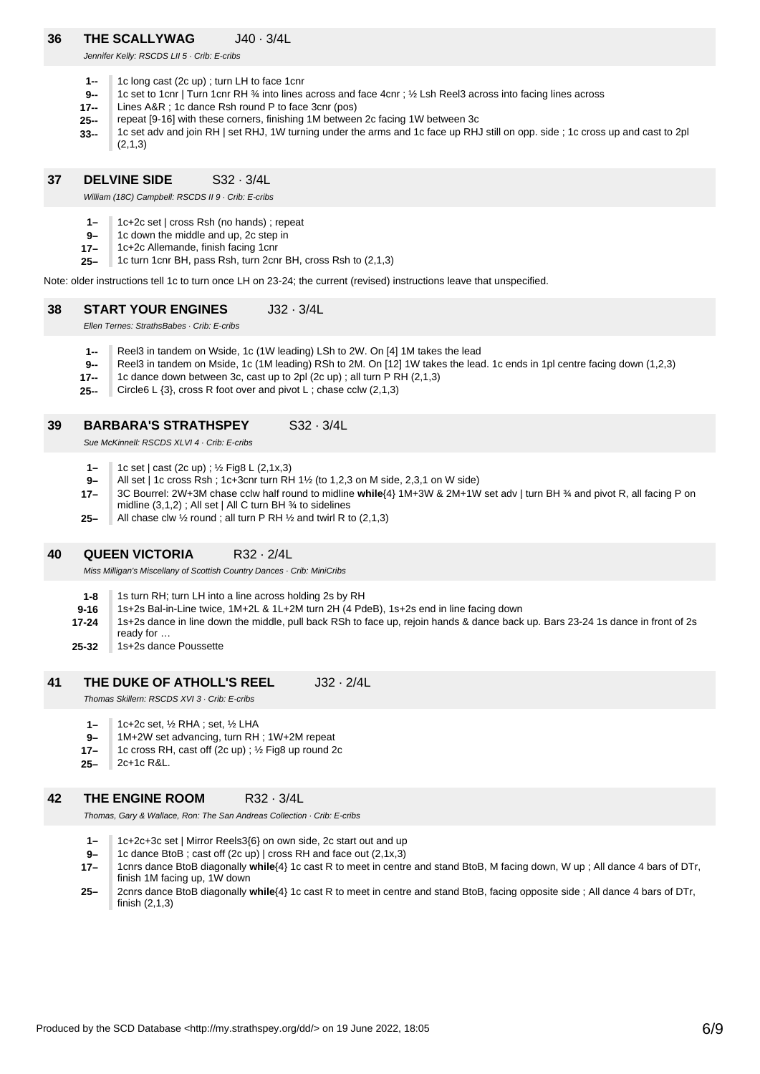## **36 THE SCALLYWAG** J40 · 3/4L

Jennifer Kelly: RSCDS LII 5 · Crib: E-cribs

- **1--** 1c long cast (2c up) ; turn LH to face 1cnr
- **9--** 1c set to 1cnr | Turn 1cnr RH ¾ into lines across and face 4cnr ; ½ Lsh Reel3 across into facing lines across
- **17--** Lines A&R ; 1c dance Rsh round P to face 3cnr (pos)
- **25-** repeat [9-16] with these corners, finishing 1M between 2c facing 1W between 3c
- **33--** 1c set adv and join RH | set RHJ, 1W turning under the arms and 1c face up RHJ still on opp. side ; 1c cross up and cast to 2pl  $(2.1.3)$

#### **37 DELVINE SIDE** S32 · 3/4L

William (18C) Campbell: RSCDS II 9 · Crib: E-cribs

- **1–** 1c+2c set | cross Rsh (no hands) ; repeat
- **9–** 1c down the middle and up, 2c step in
- **17–** 1c+2c Allemande, finish facing 1cnr
- **25–** 1c turn 1cnr BH, pass Rsh, turn 2cnr BH, cross Rsh to (2,1,3)

Note: older instructions tell 1c to turn once LH on 23-24; the current (revised) instructions leave that unspecified.

#### **38 START YOUR ENGINES** J32 · 3/4L

Ellen Ternes: StrathsBabes · Crib: E-cribs

- **1--** Reel3 in tandem on Wside, 1c (1W leading) LSh to 2W. On [4] 1M takes the lead
- **9--** Reel3 in tandem on Mside, 1c (1M leading) RSh to 2M. On [12] 1W takes the lead. 1c ends in 1pl centre facing down (1,2,3)
- **17--** 1c dance down between 3c, cast up to 2pl (2c up) ; all turn P RH (2,1,3)
- **25--** Circle6 L  $\{3\}$ , cross R foot over and pivot L; chase cclw  $(2,1,3)$

#### **39 BARBARA'S STRATHSPEY** S32 · 3/4L

Sue McKinnell: RSCDS XLVL4 · Crib: E-cribs

- **1–** 1c set | cast (2c up) ; ½ Fig8 L (2,1x,3)
- **9–** All set | 1c cross Rsh ; 1c+3cnr turn RH 1½ (to 1,2,3 on M side, 2,3,1 on W side)
- **17–** 3C Bourrel: 2W+3M chase cclw half round to midline **while**{4} 1M+3W & 2M+1W set adv | turn BH ¾ and pivot R, all facing P on midline (3,1,2) ; All set | All C turn BH ¾ to sidelines
- **25–** All chase clw  $\frac{1}{2}$  round; all turn P RH  $\frac{1}{2}$  and twirl R to (2,1,3)

#### **40 QUEEN VICTORIA** R32 · 2/4L

Miss Milligan's Miscellany of Scottish Country Dances · Crib: MiniCribs

- **1-8** 1s turn RH; turn LH into a line across holding 2s by RH
- **9-16** 1s+2s Bal-in-Line twice, 1M+2L & 1L+2M turn 2H (4 PdeB), 1s+2s end in line facing down
- **17-24** 1s+2s dance in line down the middle, pull back RSh to face up, rejoin hands & dance back up. Bars 23-24 1s dance in front of 2s ready for …
- **25-32** 1s+2s dance Poussette

#### **41 THE DUKE OF ATHOLL'S REEL** J32 · 2/4L

Thomas Skillern: RSCDS XVI 3 · Crib: E-cribs

- **1–** 1c+2c set, ½ RHA ; set, ½ LHA
- **9–** 1M+2W set advancing, turn RH ; 1W+2M repeat
- **17–** 1c cross RH, cast off (2c up) ; ½ Fig8 up round 2c
- **25–** 2c+1c R&L.

#### **42 THE ENGINE ROOM** R32 · 3/4L

Thomas, Gary & Wallace, Ron: The San Andreas Collection · Crib: E-cribs

- **1–** 1c+2c+3c set | Mirror Reels3{6} on own side, 2c start out and up
- **9–** 1c dance BtoB ; cast off (2c up) | cross RH and face out (2,1x,3)
- **17–** 1cnrs dance BtoB diagonally **while**{4} 1c cast R to meet in centre and stand BtoB, M facing down, W up ; All dance 4 bars of DTr, finish 1M facing up, 1W down
- **25–** 2cnrs dance BtoB diagonally **while**{4} 1c cast R to meet in centre and stand BtoB, facing opposite side ; All dance 4 bars of DTr, finish (2,1,3)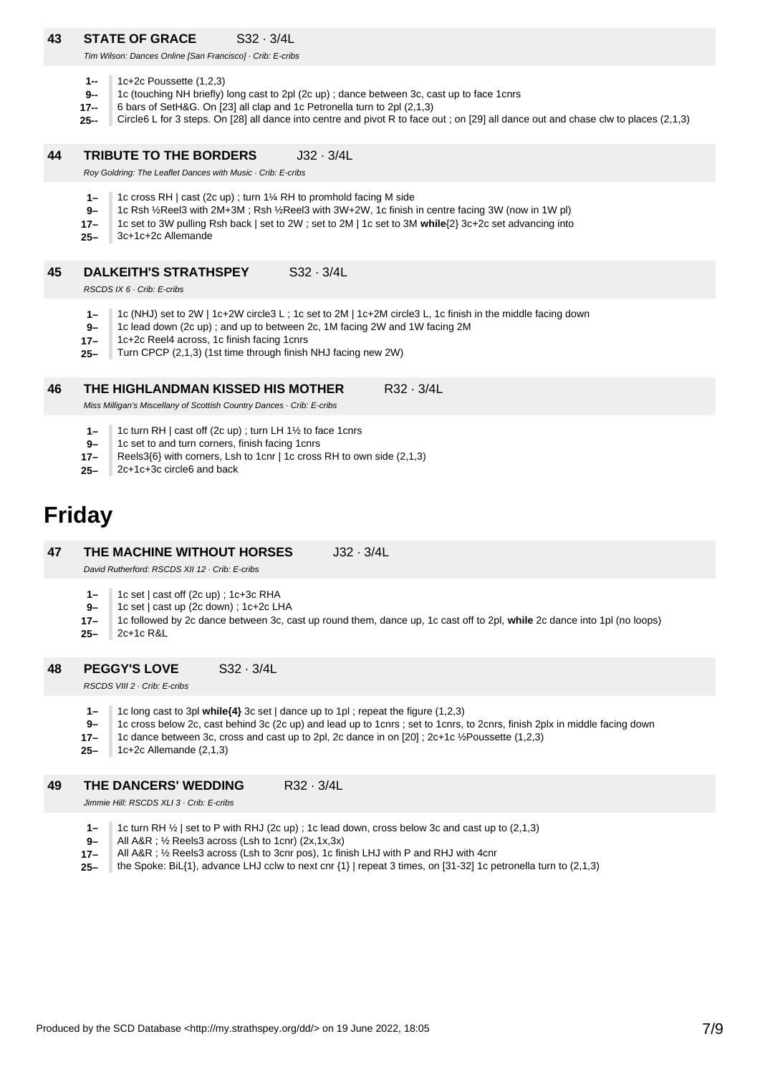## **43 STATE OF GRACE** S32 · 3/4L

Tim Wilson: Dances Online [San Francisco] · Crib: E-cribs

- **1--** 1c+2c Poussette (1,2,3)
- **9--** 1c (touching NH briefly) long cast to 2pl (2c up) ; dance between 3c, cast up to face 1cnrs
- **17--** 6 bars of SetH&G. On [23] all clap and 1c Petronella turn to 2pl (2,1,3)
- **25--** Circle6 L for 3 steps. On [28] all dance into centre and pivot R to face out ; on [29] all dance out and chase clw to places (2,1,3)

#### **44 TRIBUTE TO THE BORDERS** J32 · 3/4L

Roy Goldring: The Leaflet Dances with Music · Crib: E-cribs

- **1–** 1c cross RH | cast (2c up) ; turn 1¼ RH to promhold facing M side
- **9–** 1c Rsh ½Reel3 with 2M+3M ; Rsh ½Reel3 with 3W+2W, 1c finish in centre facing 3W (now in 1W pl)
- **17–** 1c set to 3W pulling Rsh back | set to 2W ; set to 2M | 1c set to 3M **while**{2} 3c+2c set advancing into
- **25–** 3c+1c+2c Allemande

#### **45 DALKEITH'S STRATHSPEY** S32 · 3/4L

RSCDS IX 6 · Crib: E-cribs

- **1–** 1c (NHJ) set to 2W | 1c+2W circle3 L ; 1c set to 2M | 1c+2M circle3 L, 1c finish in the middle facing down
- **9–** 1c lead down (2c up) ; and up to between 2c, 1M facing 2W and 1W facing 2M
- **17–** 1c+2c Reel4 across, 1c finish facing 1cnrs
- **25–** Turn CPCP (2,1,3) (1st time through finish NHJ facing new 2W)

#### **46 THE HIGHLANDMAN KISSED HIS MOTHER** R32 · 3/4L

Miss Milligan's Miscellany of Scottish Country Dances · Crib: E-cribs

- **1–** 1c turn RH | cast off (2c up) ; turn LH 1½ to face 1cnrs
- **9–** 1c set to and turn corners, finish facing 1cnrs
- **17–** Reels3{6} with corners, Lsh to 1cnr | 1c cross RH to own side (2,1,3)
- **25–** 2c+1c+3c circle6 and back

# **Friday**

#### **47 THE MACHINE WITHOUT HORSES** J32 · 3/4L

David Rutherford: RSCDS XII 12 · Crib: E-cribs

- **1–** 1c set | cast off (2c up) ; 1c+3c RHA
- **9–** 1c set | cast up (2c down) ; 1c+2c LHA
- **17–** 1c followed by 2c dance between 3c, cast up round them, dance up, 1c cast off to 2pl, **while** 2c dance into 1pl (no loops)
- **25–** 2c+1c R&L

#### **48 PEGGY'S LOVE** S32 · 3/4L

RSCDS VIII 2 · Crib: E-cribs

- **1–** 1c long cast to 3pl **while{4}** 3c set | dance up to 1pl ; repeat the figure (1,2,3)
- **9–** 1c cross below 2c, cast behind 3c (2c up) and lead up to 1cnrs ; set to 1cnrs, to 2cnrs, finish 2plx in middle facing down
- **17–** 1c dance between 3c, cross and cast up to 2pl, 2c dance in on [20] ; 2c+1c ½Poussette (1,2,3)
- **25–** 1c+2c Allemande (2,1,3)

#### **49 THE DANCERS' WEDDING** R32 · 3/4L

Jimmie Hill: RSCDS XLI 3 · Crib: E-cribs

- **1–** 1c turn RH ½ | set to P with RHJ (2c up) ; 1c lead down, cross below 3c and cast up to (2,1,3)
- **9–** All A&R ; ½ Reels3 across (Lsh to 1cnr) (2x,1x,3x)
- **17–** All A&R ; ½ Reels3 across (Lsh to 3cnr pos), 1c finish LHJ with P and RHJ with 4cnr
- **25–** the Spoke: BiL{1}, advance LHJ cclw to next cnr {1} | repeat 3 times, on [31-32] 1c petronella turn to (2,1,3)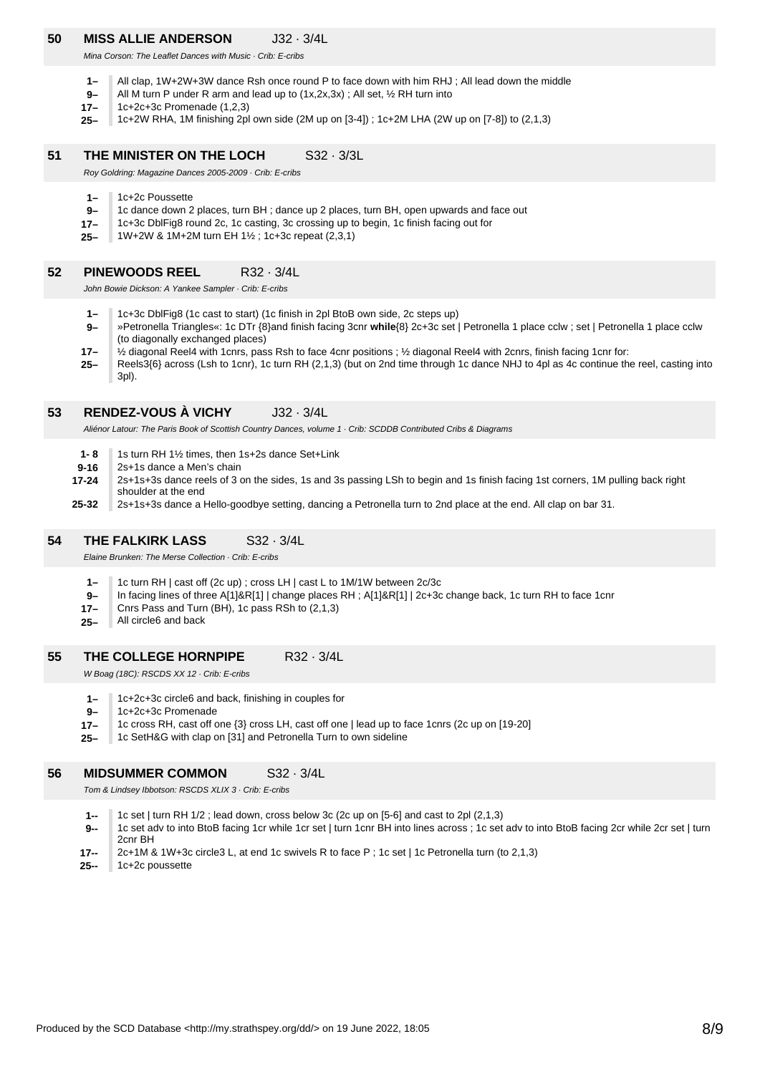## **50 MISS ALLIE ANDERSON** J32 · 3/4L

Mina Corson: The Leaflet Dances with Music · Crib: E-cribs

- **1–** All clap, 1W+2W+3W dance Rsh once round P to face down with him RHJ ; All lead down the middle
- **9–** All M turn P under R arm and lead up to (1x,2x,3x) ; All set, ½ RH turn into
- **17–** 1c+2c+3c Promenade (1,2,3)
- **25–** 1c+2W RHA, 1M finishing 2pl own side (2M up on [3-4]) ; 1c+2M LHA (2W up on [7-8]) to (2,1,3)

#### **51 THE MINISTER ON THE LOCH S32 · 3/3L**

Roy Goldring: Magazine Dances 2005-2009 · Crib: E-cribs

- **1–** 1c+2c Poussette
- **9–** 1c dance down 2 places, turn BH ; dance up 2 places, turn BH, open upwards and face out
- **17–** 1c+3c DblFig8 round 2c, 1c casting, 3c crossing up to begin, 1c finish facing out for
- **25–** 1W+2W & 1M+2M turn EH 1½ ; 1c+3c repeat (2,3,1)

#### **52 PINEWOODS REEL** R32 · 3/4L

John Bowie Dickson: A Yankee Sampler · Crib: E-cribs

- **1–** 1c+3c DblFig8 (1c cast to start) (1c finish in 2pl BtoB own side, 2c steps up)
- **9–** »Petronella Triangles«: 1c DTr {8}and finish facing 3cnr **while**{8} 2c+3c set | Petronella 1 place cclw ; set | Petronella 1 place cclw (to diagonally exchanged places)
- **17–** ½ diagonal Reel4 with 1cnrs, pass Rsh to face 4cnr positions ; ½ diagonal Reel4 with 2cnrs, finish facing 1cnr for:
- **25–** Reels3{6} across (Lsh to 1cnr), 1c turn RH (2,1,3) (but on 2nd time through 1c dance NHJ to 4pl as 4c continue the reel, casting into 3pl).

#### **53 RENDEZ-VOUS À VICHY** J32 · 3/4L

Aliénor Latour: The Paris Book of Scottish Country Dances, volume 1 · Crib: SCDDB Contributed Cribs & Diagrams

- **1- 8** 1s turn RH 1½ times, then 1s+2s dance Set+Link
- **9-16** 2s+1s dance a Men's chain
- **17-24** 2s+1s+3s dance reels of 3 on the sides, 1s and 3s passing LSh to begin and 1s finish facing 1st corners, 1M pulling back right shoulder at the end
- **25-32** 2s+1s+3s dance a Hello-goodbye setting, dancing a Petronella turn to 2nd place at the end. All clap on bar 31.

#### **54 THE FALKIRK LASS** S32 · 3/4L

Elaine Brunken: The Merse Collection · Crib: E-cribs

- **1–** 1c turn RH | cast off (2c up) ; cross LH | cast L to 1M/1W between 2c/3c
- **9–** In facing lines of three A[1]&R[1] | change places RH ; A[1]&R[1] | 2c+3c change back, 1c turn RH to face 1cnr
- **17–** Cnrs Pass and Turn (BH), 1c pass RSh to (2,1,3)
- **25–** All circle6 and back

#### **55 THE COLLEGE HORNPIPE** R32 · 3/4L

W Boag (18C): RSCDS XX 12 · Crib: E-cribs

- **1–** 1c+2c+3c circle6 and back, finishing in couples for
- **9–** 1c+2c+3c Promenade
- **17–** 1c cross RH, cast off one {3} cross LH, cast off one | lead up to face 1cnrs (2c up on [19-20]
- **25–** 1c SetH&G with clap on [31] and Petronella Turn to own sideline

#### **56 MIDSUMMER COMMON** S32 · 3/4L

Tom & Lindsey Ibbotson: RSCDS XLIX 3 · Crib: E-cribs

- **1--** 1c set | turn RH 1/2 ; lead down, cross below 3c (2c up on [5-6] and cast to 2pl (2,1,3)
- **9--** 1c set adv to into BtoB facing 1cr while 1cr set | turn 1cnr BH into lines across ; 1c set adv to into BtoB facing 2cr while 2cr set | turn 2cnr BH
- **17--** 2c+1M & 1W+3c circle3 L, at end 1c swivels R to face P ; 1c set | 1c Petronella turn (to 2,1,3)
- **25--** 1c+2c poussette